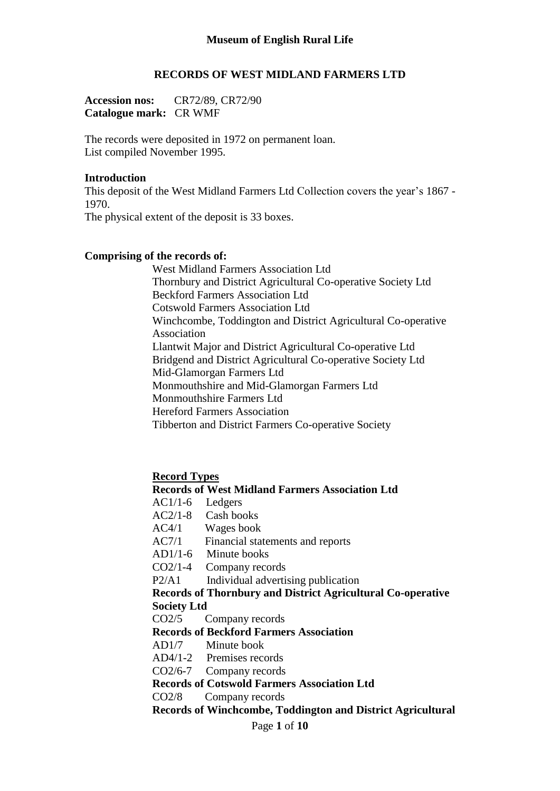### **RECORDS OF WEST MIDLAND FARMERS LTD**

**Accession nos:** CR72/89, CR72/90 **Catalogue mark:** CR WMF

The records were deposited in 1972 on permanent loan. List compiled November 1995.

#### **Introduction**

This deposit of the West Midland Farmers Ltd Collection covers the year's 1867 - 1970. The physical extent of the deposit is 33 boxes.

# **Comprising of the records of:**

West Midland Farmers Association Ltd Thornbury and District Agricultural Co-operative Society Ltd Beckford Farmers Association Ltd Cotswold Farmers Association Ltd Winchcombe, Toddington and District Agricultural Co-operative Association Llantwit Major and District Agricultural Co-operative Ltd Bridgend and District Agricultural Co-operative Society Ltd Mid-Glamorgan Farmers Ltd Monmouthshire and Mid-Glamorgan Farmers Ltd Monmouthshire Farmers Ltd Hereford Farmers Association Tibberton and District Farmers Co-operative Society

**Record Types**

# **Records of West Midland Farmers Association Ltd**

- AC1/1-6 Ledgers
- AC2/1-8 Cash books
- AC4/1 Wages book
- AC7/1 Financial statements and reports
- AD1/1-6 Minute books
- CO2/1-4 Company records
- P2/A1 Individual advertising publication

### **Records of Thornbury and District Agricultural Co-operative Society Ltd**

CO2/5 Company records

# **Records of Beckford Farmers Association**

AD1/7 Minute book

- AD4/1-2 Premises records
- CO2/6-7 Company records

**Records of Cotswold Farmers Association Ltd**

CO2/8 Company records

**Records of Winchcombe, Toddington and District Agricultural**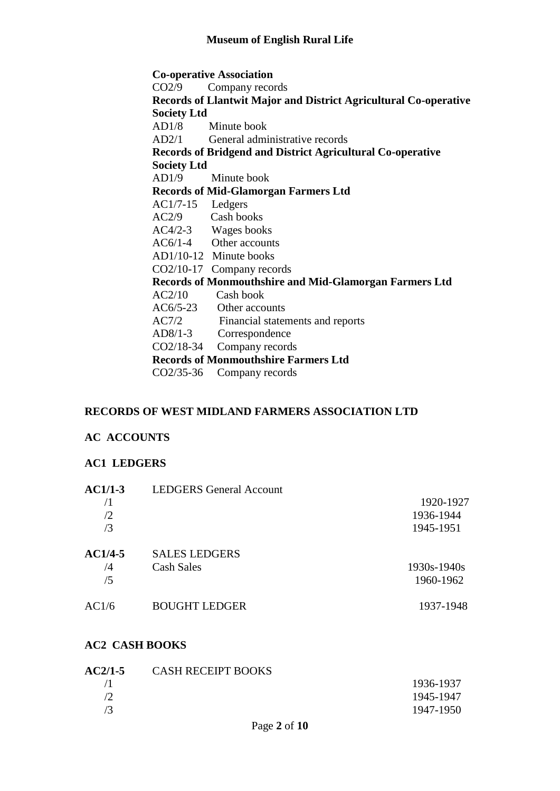**Co-operative Association** CO2/9 Company records **Records of Llantwit Major and District Agricultural Co-operative Society Ltd** AD1/8 Minute book AD2/1 General administrative records **Records of Bridgend and District Agricultural Co-operative Society Ltd** AD1/9 Minute book **Records of Mid-Glamorgan Farmers Ltd** AC1/7-15 Ledgers AC2/9 Cash books AC4/2-3 Wages books AC6/1-4 Other accounts AD1/10-12 Minute books CO2/10-17 Company records **Records of Monmouthshire and Mid-Glamorgan Farmers Ltd** AC2/10 Cash book AC6/5-23 Other accounts AC7/2 Financial statements and reports<br>AD8/1-3 Correspondence Correspondence CO2/18-34 Company records **Records of Monmouthshire Farmers Ltd** CO2/35-36 Company records

## **RECORDS OF WEST MIDLAND FARMERS ASSOCIATION LTD**

#### **AC ACCOUNTS**

#### **AC1 LEDGERS**

| $AC1/1-3$ | <b>LEDGERS</b> General Account |             |
|-----------|--------------------------------|-------------|
| /1        |                                | 1920-1927   |
| /2        |                                | 1936-1944   |
| /3        |                                | 1945-1951   |
| AC1/4-5   | <b>SALES LEDGERS</b>           |             |
| /4        | Cash Sales                     | 1930s-1940s |
| /5        |                                | 1960-1962   |
| AC1/6     | <b>BOUGHT LEDGER</b>           | 1937-1948   |
|           |                                |             |

## **AC2 CASH BOOKS**

| <b>AC2/1-5</b> | <b>CASH RECEIPT BOOKS</b> |           |
|----------------|---------------------------|-----------|
|                |                           | 1936-1937 |
|                |                           | 1945-1947 |
| 73             |                           | 1947-1950 |
|                |                           |           |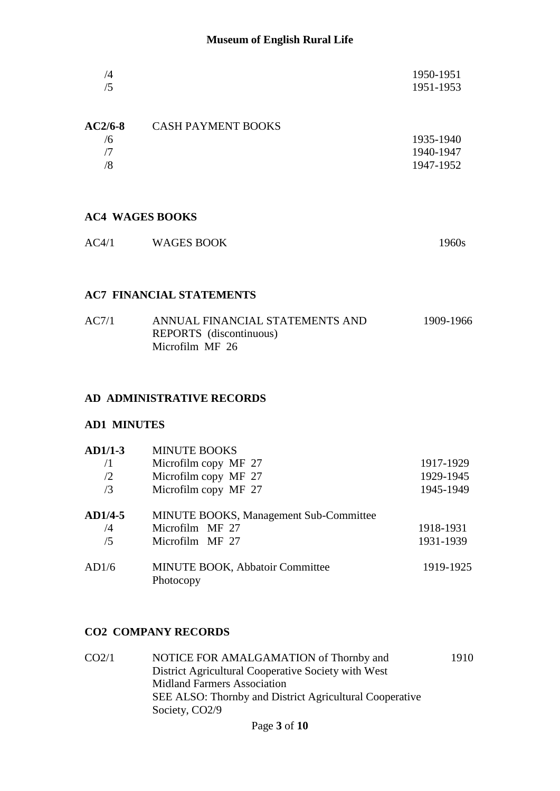| /4 | 1950-1951 |
|----|-----------|
| /5 | 1951-1953 |
|    |           |

| <b>AC2/6-8</b> | <b>CASH PAYMENT BOOKS</b> |           |
|----------------|---------------------------|-----------|
| /6             |                           | 1935-1940 |
|                |                           | 1940-1947 |
| 8/             |                           | 1947-1952 |
|                |                           |           |

# **AC4 WAGES BOOKS**

| AC4/1 | <b>WAGES BOOK</b> | 1960s |
|-------|-------------------|-------|
|       |                   |       |

# **AC7 FINANCIAL STATEMENTS**

| AC7/1 | ANNUAL FINANCIAL STATEMENTS AND | 1909-1966 |
|-------|---------------------------------|-----------|
|       | REPORTS (discontinuous)         |           |
|       | Microfilm MF 26                 |           |

# **AD ADMINISTRATIVE RECORDS**

## **AD1 MINUTES**

| $AD1/1-3$  | <b>MINUTE BOOKS</b>                           |           |
|------------|-----------------------------------------------|-----------|
| /1         | Microfilm copy MF 27                          | 1917-1929 |
| /2         | Microfilm copy MF 27                          | 1929-1945 |
| /3         | Microfilm copy MF 27                          | 1945-1949 |
| $AD1/4-5$  | <b>MINUTE BOOKS, Management Sub-Committee</b> |           |
| $\sqrt{4}$ | Microfilm MF 27                               | 1918-1931 |
| /5         | Microfilm MF 27                               | 1931-1939 |
| AD1/6      | MINUTE BOOK, Abbatoir Committee<br>Photocopy  | 1919-1925 |

## **CO2 COMPANY RECORDS**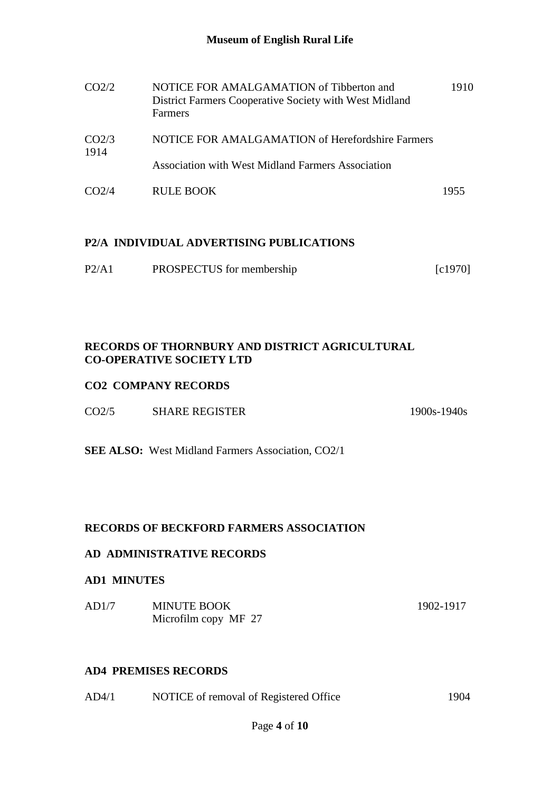| CO2/2                      | NOTICE FOR AMALGAMATION of Tibberton and<br>District Farmers Cooperative Society with West Midland<br><b>Farmers</b> | 1910 |
|----------------------------|----------------------------------------------------------------------------------------------------------------------|------|
| CO <sub>2</sub> /3<br>1914 | NOTICE FOR AMALGAMATION of Herefordshire Farmers                                                                     |      |
|                            | <b>Association with West Midland Farmers Association</b>                                                             |      |
| CO <sub>2</sub> /4         | RULE BOOK                                                                                                            | 1955 |

# **P2/A INDIVIDUAL ADVERTISING PUBLICATIONS**

| P2/A1 | PROSPECTUS for membership | [c1970] |
|-------|---------------------------|---------|
|-------|---------------------------|---------|

# **RECORDS OF THORNBURY AND DISTRICT AGRICULTURAL CO-OPERATIVE SOCIETY LTD**

# **CO2 COMPANY RECORDS**

| CO <sub>2/5</sub><br><b>SHARE REGISTER</b> | $1900s - 1940s$ |
|--------------------------------------------|-----------------|
|--------------------------------------------|-----------------|

**SEE ALSO:** West Midland Farmers Association, CO2/1

# **RECORDS OF BECKFORD FARMERS ASSOCIATION**

# **AD ADMINISTRATIVE RECORDS**

## **AD1 MINUTES**

| AD1/7 | <b>MINUTE BOOK</b>   | 1902-1917 |
|-------|----------------------|-----------|
|       | Microfilm copy MF 27 |           |

# **AD4 PREMISES RECORDS**

| AD4/1 | NOTICE of removal of Registered Office | 1904 |
|-------|----------------------------------------|------|
|       |                                        |      |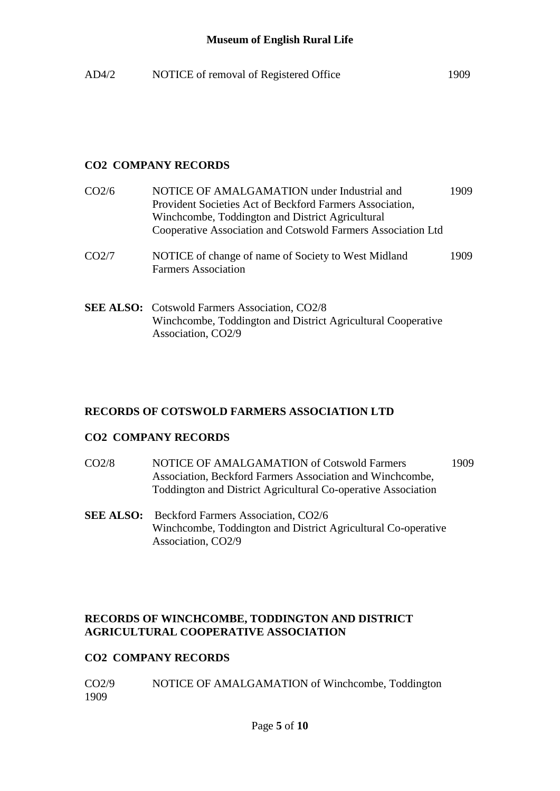| AD4/2 | NOTICE of removal of Registered Office | 1909 |
|-------|----------------------------------------|------|
|       |                                        |      |

# **CO2 COMPANY RECORDS**

| CO <sub>2/6</sub> | NOTICE OF AMALGAMATION under Industrial and<br>Provident Societies Act of Beckford Farmers Association,<br>Winchcombe, Toddington and District Agricultural<br>Cooperative Association and Cotswold Farmers Association Ltd | 1909. |
|-------------------|-----------------------------------------------------------------------------------------------------------------------------------------------------------------------------------------------------------------------------|-------|
| CO2/7             | NOTICE of change of name of Society to West Midland<br><b>Farmers Association</b>                                                                                                                                           | 1909. |
|                   |                                                                                                                                                                                                                             |       |

**SEE ALSO:** Cotswold Farmers Association, CO2/8 Winchcombe, Toddington and District Agricultural Cooperative Association, CO2/9

## **RECORDS OF COTSWOLD FARMERS ASSOCIATION LTD**

#### **CO2 COMPANY RECORDS**

- CO2/8 NOTICE OF AMALGAMATION of Cotswold Farmers 1909 Association, Beckford Farmers Association and Winchcombe, Toddington and District Agricultural Co-operative Association
- **SEE ALSO:** Beckford Farmers Association, CO2/6 Winchcombe, Toddington and District Agricultural Co-operative Association, CO2/9

# **RECORDS OF WINCHCOMBE, TODDINGTON AND DISTRICT AGRICULTURAL COOPERATIVE ASSOCIATION**

## **CO2 COMPANY RECORDS**

CO2/9 NOTICE OF AMALGAMATION of Winchcombe, Toddington 1909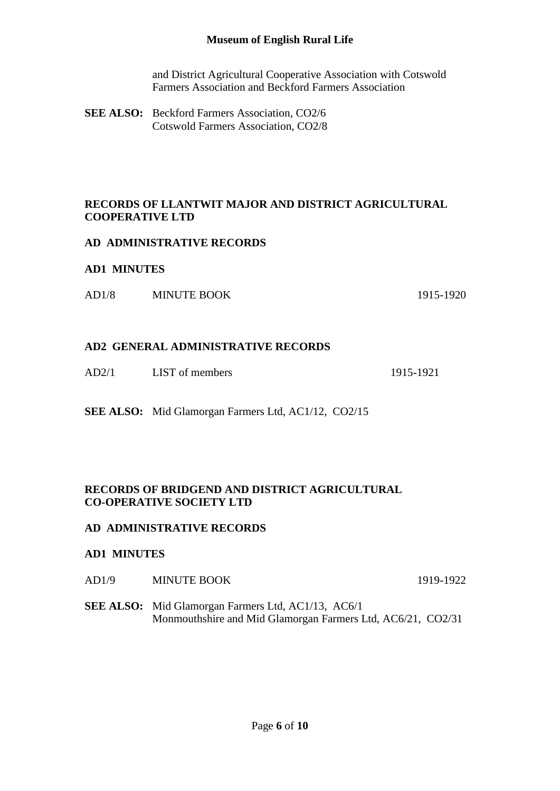and District Agricultural Cooperative Association with Cotswold Farmers Association and Beckford Farmers Association

**SEE ALSO:** Beckford Farmers Association, CO2/6 Cotswold Farmers Association, CO2/8

## **RECORDS OF LLANTWIT MAJOR AND DISTRICT AGRICULTURAL COOPERATIVE LTD**

### **AD ADMINISTRATIVE RECORDS**

#### **AD1 MINUTES**

AD1/8 MINUTE BOOK 1915-1920

### **AD2 GENERAL ADMINISTRATIVE RECORDS**

AD2/1 LIST of members 1915-1921

**SEE ALSO:** Mid Glamorgan Farmers Ltd, AC1/12, CO2/15

## **RECORDS OF BRIDGEND AND DISTRICT AGRICULTURAL CO-OPERATIVE SOCIETY LTD**

#### **AD ADMINISTRATIVE RECORDS**

#### **AD1 MINUTES**

AD1/9 MINUTE BOOK 1919-1922

**SEE ALSO:** Mid Glamorgan Farmers Ltd, AC1/13, AC6/1 Monmouthshire and Mid Glamorgan Farmers Ltd, AC6/21, CO2/31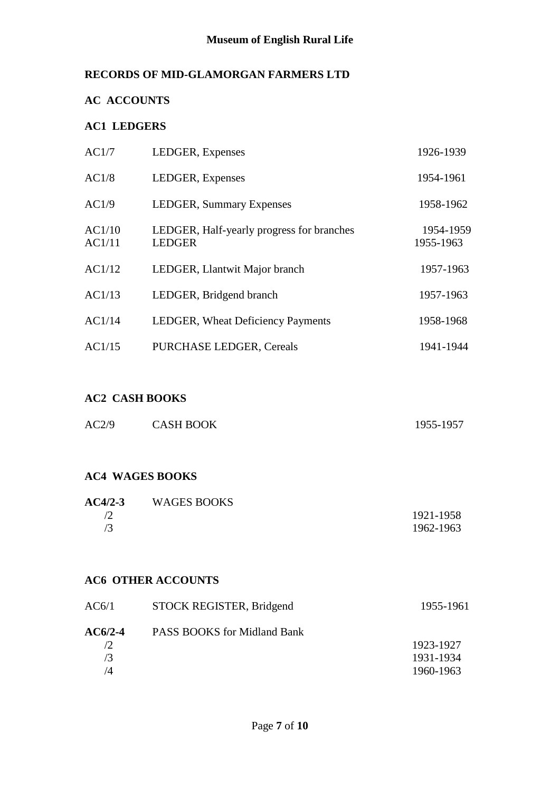# **RECORDS OF MID-GLAMORGAN FARMERS LTD**

# **AC ACCOUNTS**

# **AC1 LEDGERS**

| AC1/7            | LEDGER, Expenses                                           | 1926-1939              |
|------------------|------------------------------------------------------------|------------------------|
| AC1/8            | LEDGER, Expenses                                           | 1954-1961              |
| AC1/9            | <b>LEDGER, Summary Expenses</b>                            | 1958-1962              |
| AC1/10<br>AC1/11 | LEDGER, Half-yearly progress for branches<br><b>LEDGER</b> | 1954-1959<br>1955-1963 |
| AC1/12           | LEDGER, Llantwit Major branch                              | 1957-1963              |
| AC1/13           | LEDGER, Bridgend branch                                    | 1957-1963              |
| AC1/14           | LEDGER, Wheat Deficiency Payments                          | 1958-1968              |
| AC1/15           | <b>PURCHASE LEDGER, Cereals</b>                            | 1941-1944              |

# **AC2 CASH BOOKS**

| AC2/9 | <b>CASH BOOK</b> | 1955-1957 |
|-------|------------------|-----------|
|       |                  |           |

## **AC4 WAGES BOOKS**

| <b>WAGES BOOKS</b> |           |
|--------------------|-----------|
|                    | 1921-1958 |
|                    | 1962-1963 |
|                    |           |

# **AC6 OTHER ACCOUNTS**

| STOCK REGISTER, Bridgend           | 1955-1961 |
|------------------------------------|-----------|
| <b>PASS BOOKS</b> for Midland Bank |           |
|                                    | 1923-1927 |
|                                    | 1931-1934 |
|                                    | 1960-1963 |
|                                    |           |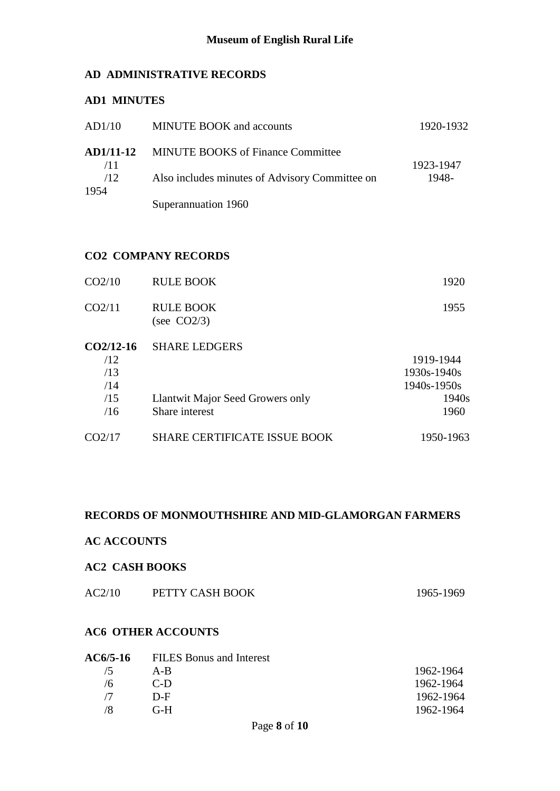## **AD ADMINISTRATIVE RECORDS**

## **AD1 MINUTES**

| AD1/10             | <b>MINUTE BOOK</b> and accounts                    | 1920-1932          |
|--------------------|----------------------------------------------------|--------------------|
|                    | <b>AD1/11-12</b> MINUTE BOOKS of Finance Committee |                    |
| /11<br>/12<br>1954 | Also includes minutes of Advisory Committee on     | 1923-1947<br>1948- |
|                    | Superannuation 1960                                |                    |

# **CO2 COMPANY RECORDS**

| CO2/10      | <b>RULE BOOK</b>                   | 1920        |
|-------------|------------------------------------|-------------|
| CO2/11      | <b>RULE BOOK</b><br>(see $CO2/3$ ) | 1955        |
| $CO2/12-16$ | <b>SHARE LEDGERS</b>               |             |
| /12         |                                    | 1919-1944   |
| /13         |                                    | 1930s-1940s |
| /14         |                                    | 1940s-1950s |
| /15         | Llantwit Major Seed Growers only   | 1940s       |
| /16         | Share interest                     | 1960        |
|             |                                    |             |

| CO2/17 | <b>SHARE CERTIFICATE ISSUE BOOK</b> | 1950-1963 |
|--------|-------------------------------------|-----------|

### **RECORDS OF MONMOUTHSHIRE AND MID-GLAMORGAN FARMERS**

## **AC ACCOUNTS**

## **AC2 CASH BOOKS**

| AC2/10 | PETTY CASH BOOK | 1965-1969 |
|--------|-----------------|-----------|
|        |                 |           |

# **AC6 OTHER ACCOUNTS**

|     | AC6/5-16 FILES Bonus and Interest |           |
|-----|-----------------------------------|-----------|
| /5  | $A - B$                           | 1962-1964 |
| /6  | $C-D$                             | 1962-1964 |
| 77. | $D-F$                             | 1962-1964 |
| /8  | $G-H$                             | 1962-1964 |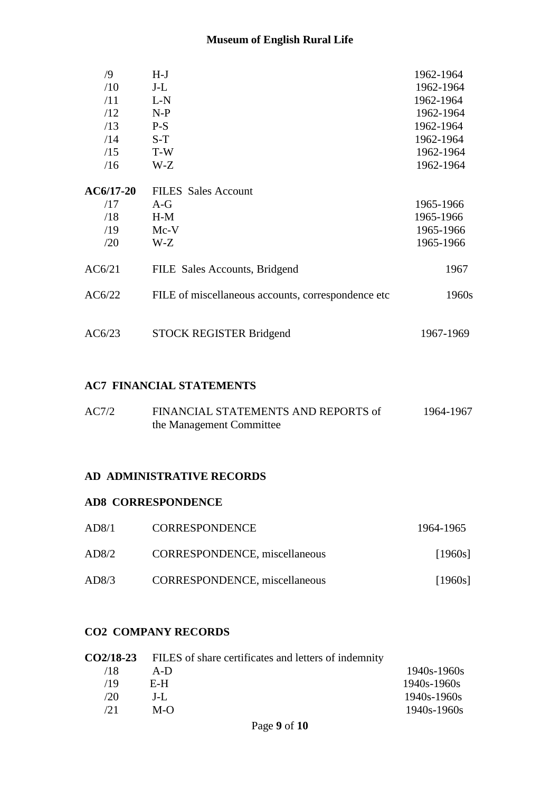| $\sqrt{9}$  | $H-J$                                              | 1962-1964 |
|-------------|----------------------------------------------------|-----------|
| /10         | $J-L$                                              | 1962-1964 |
| /11         | $L-N$                                              | 1962-1964 |
| /12         | $N-P$                                              | 1962-1964 |
| /13         | $P-S$                                              | 1962-1964 |
| /14         | $S-T$                                              | 1962-1964 |
| /15         | T-W                                                | 1962-1964 |
| /16         | W-Z                                                | 1962-1964 |
| $AC6/17-20$ | <b>FILES</b> Sales Account                         |           |
| /17         | $A-G$                                              | 1965-1966 |
| /18         | $H-M$                                              | 1965-1966 |
| /19         | $Mc-V$                                             | 1965-1966 |
| /20         | W-Z                                                | 1965-1966 |
| AC6/21      | FILE Sales Accounts, Bridgend                      | 1967      |
| AC6/22      | FILE of miscellaneous accounts, correspondence etc | 1960s     |
| AC6/23      | <b>STOCK REGISTER Bridgend</b>                     | 1967-1969 |

#### **AC7 FINANCIAL STATEMENTS**

| AC7/2 | FINANCIAL STATEMENTS AND REPORTS of | 1964-1967 |
|-------|-------------------------------------|-----------|
|       | the Management Committee            |           |

#### **AD ADMINISTRATIVE RECORDS**

#### **AD8 CORRESPONDENCE**

| AD8/1 | <b>CORRESPONDENCE</b>                | 1964-1965 |
|-------|--------------------------------------|-----------|
| AD8/2 | <b>CORRESPONDENCE, miscellaneous</b> | [1960s]   |
| AD8/3 | CORRESPONDENCE, miscellaneous        | [1960s]   |

# **CO2 COMPANY RECORDS**

|      | <b>CO2/18-23</b> FILES of share certificates and letters of indemnity |                 |
|------|-----------------------------------------------------------------------|-----------------|
| 71 X | $A-D$                                                                 | $1940s - 1960s$ |
| /19  | E-H.                                                                  | $1940s - 1960s$ |
| /20  | $J-I$ .                                                               | $1940s - 1960s$ |
| /21  | $M-O$                                                                 | $1940s - 1960s$ |
|      |                                                                       |                 |